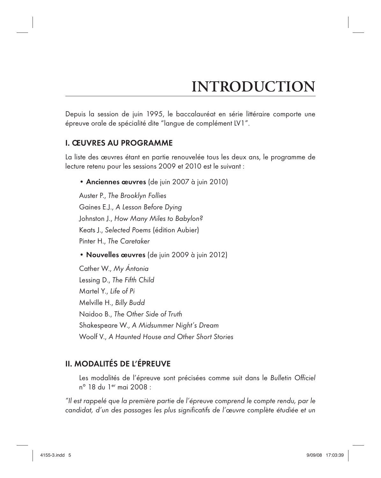# **INTRODUCTION**

Depuis la session de juin 1995, le baccalauréat en série littéraire comporte une épreuve orale de spécialité dite "langue de complément LV1".

# I. ŒUVRES AU PROGRAMME

La liste des œuvres étant en partie renouvelée tous les deux ans, le programme de lecture retenu pour les sessions 2009 et 2010 est le suivant :

• Anciennes œuvres (de juin 2007 à juin 2010)

Auster P., The Brooklyn Follies Gaines E.J., A Lesson Before Dying Johnston J., How Many Miles to Babylon? Keats J., Selected Poems (édition Aubier) Pinter H., The Caretaker

• Nouvelles œuvres (de juin 2009 à juin 2012)

Cather W., My Ántonia Lessing D., The Fifth Child Martel Y., Life of Pi Melville H., Billy Budd Naidoo B., The Other Side of Truth Shakespeare W., A Midsummer Night's Dream Woolf V., A Haunted House and Other Short Stories

# II. MODALITÉS DE L'ÉPREUVE

Les modalités de l'épreuve sont précisées comme suit dans le Bulletin Officiel n° 18 du 1er mai 2008 :

"Il est rappelé que la première partie de l'épreuve comprend le compte rendu, par le candidat, d'un des passages les plus significatifs de l'œuvre complète étudiée et un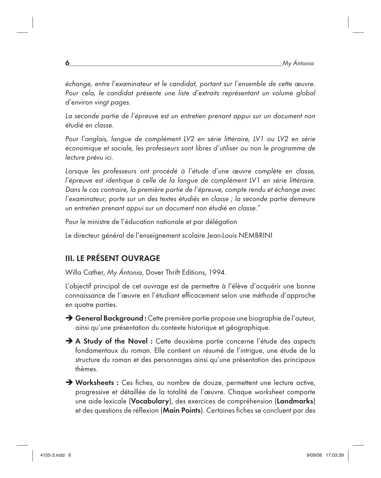échange, entre l'examinateur et le candidat, portant sur l'ensemble de cette œuvre. Pour cela, le candidat présente une liste d'extraits représentant un volume global d'environ vingt pages.

La seconde partie de l'épreuve est un entretien prenant appui sur un document non étudié en classe.

Pour l'anglais, langue de complément LV2 en série littéraire, LV1 ou LV2 en série économique et sociale, les professeurs sont libres d'utiliser ou non le programme de lecture prévu ici.

Lorsque les professeurs ont procédé à l'étude d'une œuvre complète en classe, l'épreuve est identique à celle de la langue de complément LV1 en série littéraire. Dans le cas contraire, la première partie de l'épreuve, compte rendu et échange avec l'examinateur, porte sur un des textes étudiés en classe ; la seconde partie demeure un entretien prenant appui sur un document non étudié en classe."

Pour le ministre de l'éducation nationale et par délégation

Le directeur général de l'enseignement scolaire Jean-Louis NEMBRINI

# III. LE PRÉSENT OUVRAGE

Willa Cather, My Ántonia, Dover Thrift Editions, 1994.

L'objectif principal de cet ouvrage est de permettre à l'élève d'acquérir une bonne connaissance de l'œuvre en l'étudiant efficacement selon une méthode d'approche en quatre parties.

 $\rightarrow$  **General Background :** Cette première partie propose une biographie de l'auteur, ainsi qu'une présentation du contexte historique et géographique.

- $\rightarrow$  A Study of the Novel : Cette deuxième partie concerne l'étude des aspects fondamentaux du roman. Elle contient un résumé de l'intrigue, une étude de la structure du roman et des personnages ainsi qu'une présentation des principaux thèmes.
- $\rightarrow$  Worksheets : Ces fiches, au nombre de douze, permettent une lecture active, progressive et détaillée de la totalité de l'œuvre. Chaque worksheet comporte une aide lexicale (Vocabulary), des exercices de compréhension (Landmarks) et des questions de réflexion (Main Points). Certaines fiches se concluent par des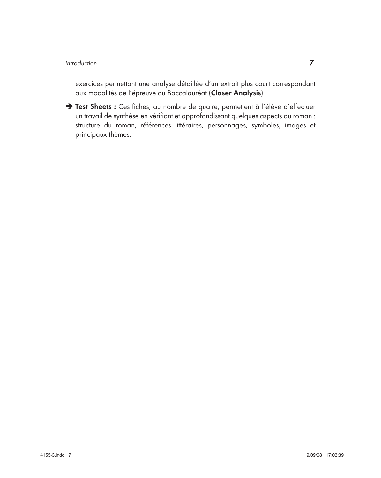exercices permettant une analyse détaillée d'un extrait plus court correspondant aux modalités de l'épreuve du Baccalauréat (Closer Analysis).

 $\rightarrow$  Test Sheets : Ces fiches, au nombre de quatre, permettent à l'élève d'effectuer un travail de synthèse en vérifiant et approfondissant quelques aspects du roman : structure du roman, références littéraires, personnages, symboles, images et principaux thèmes.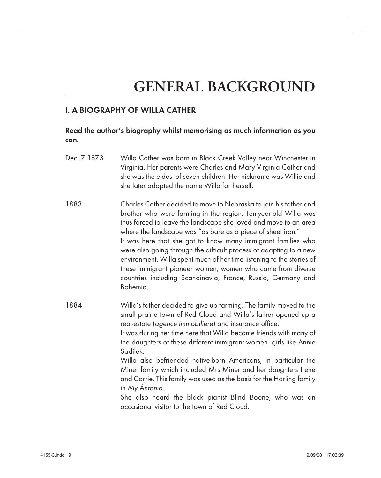# **GENERAL BACKGROUND**

# I. A BIOGRAPHY OF WILLA CATHER

### Read the author's biography whilst memorising as much information as you can.

- Dec. 7 1873 Willa Cather was born in Black Creek Valley near Winchester in Virginia. Her parents were Charles and Mary Virginia Cather and she was the eldest of seven children. Her nickname was Willie and she later adopted the name Willa for herself.
- 1883 Charles Cather decided to move to Nebraska to join his father and brother who were farming in the region. Ten-year-old Willa was thus forced to leave the landscape she loved and move to an area where the landscape was "as bare as a piece of sheet iron." It was here that she got to know many immigrant families who were also going through the difficult process of adapting to a new environment. Willa spent much of her time listening to the stories of these immigrant pioneer women; women who came from diverse countries including Scandinavia, France, Russia, Germany and Bohemia.
- 1884 Willa's father decided to give up farming. The family moved to the small prairie town of Red Cloud and Willa's father opened up a real-estate (agence immobilière) and insurance office. It was during her time here that Willa became friends with many of

the daughters of these different immigrant women—girls like Annie Sadilek.

 Willa also befriended native-born Americans, in particular the Miner family which included Mrs Miner and her daughters Irene and Carrie. This family was used as the basis for the Harling family in My Ántonia.

 She also heard the black pianist Blind Boone, who was an occasional visitor to the town of Red Cloud.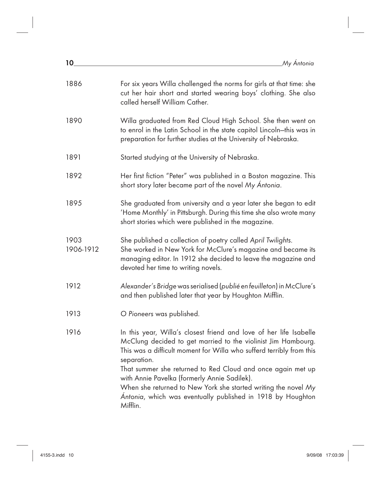| My Antonia |  |
|------------|--|
|            |  |

| 1886              | For six years Willa challenged the norms for girls at that time: she<br>cut her hair short and started wearing boys' clothing. She also<br>called herself William Cather.                                                                                                                                                                                                                                                                                                  |
|-------------------|----------------------------------------------------------------------------------------------------------------------------------------------------------------------------------------------------------------------------------------------------------------------------------------------------------------------------------------------------------------------------------------------------------------------------------------------------------------------------|
| 1890              | Willa graduated from Red Cloud High School. She then went on<br>to enrol in the Latin School in the state capitol Lincoln-this was in<br>preparation for further studies at the University of Nebraska.                                                                                                                                                                                                                                                                    |
| 1891              | Started studying at the University of Nebraska.                                                                                                                                                                                                                                                                                                                                                                                                                            |
| 1892              | Her first fiction "Peter" was published in a Boston magazine. This<br>short story later became part of the novel My Ántonia.                                                                                                                                                                                                                                                                                                                                               |
| 1895              | She graduated from university and a year later she began to edit<br>'Home Monthly' in Pittsburgh. During this time she also wrote many<br>short stories which were published in the magazine.                                                                                                                                                                                                                                                                              |
| 1903<br>1906-1912 | She published a collection of poetry called April Twilights.<br>She worked in New York for McClure's magazine and became its<br>managing editor. In 1912 she decided to leave the magazine and<br>devoted her time to writing novels.                                                                                                                                                                                                                                      |
| 1912              | Alexander's Bridge was serialised (publié en feuilleton) in McClure's<br>and then published later that year by Houghton Mifflin.                                                                                                                                                                                                                                                                                                                                           |
| 1913              | O Pioneers was published.                                                                                                                                                                                                                                                                                                                                                                                                                                                  |
| 1916              | In this year, Willa's closest friend and love of her life Isabelle<br>McClung decided to get married to the violinist Jim Hambourg.<br>This was a difficult moment for Willa who sufferd terribly from this<br>separation.<br>That summer she returned to Red Cloud and once again met up<br>with Annie Pavelka (formerly Annie Sadilek).<br>When she returned to New York she started writing the novel My<br>Antonia, which was eventually published in 1918 by Houghton |
|                   | Mifflin.                                                                                                                                                                                                                                                                                                                                                                                                                                                                   |

 $10$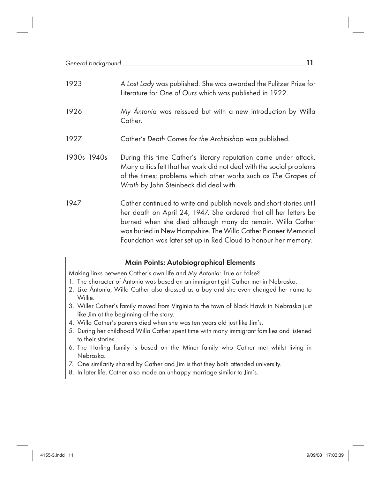| 1923        | A Lost Lady was published. She was awarded the Pulitzer Prize for<br>Literature for One of Ours which was published in 1922.                                                                                                                                                                                                               |
|-------------|--------------------------------------------------------------------------------------------------------------------------------------------------------------------------------------------------------------------------------------------------------------------------------------------------------------------------------------------|
| 1926        | My Ántonia was reissued but with a new introduction by Willa<br>Cather.                                                                                                                                                                                                                                                                    |
| 1927        | Cather's Death Comes for the Archbishop was published.                                                                                                                                                                                                                                                                                     |
| 1930s-1940s | During this time Cather's literary reputation came under attack.<br>Many critics felt that her work did not deal with the social problems<br>of the times; problems which other works such as The Grapes of<br>Wrath by John Steinbeck did deal with.                                                                                      |
| 1947        | Cather continued to write and publish novels and short stories until<br>her death on April 24, 1947. She ordered that all her letters be<br>burned when she died although many do remain. Willa Cather<br>was buried in New Hampshire. The Willa Cather Pioneer Memorial<br>Foundation was later set up in Red Cloud to honour her memory. |

#### Main Points: Autobiographical Elements

Making links between Cather's own life and My Ántonia: True or False?

- 1. The character of Ántonia was based on an immigrant girl Cather met in Nebraska.
- 2. Like Ántonia, Willa Cather also dressed as a boy and she even changed her name to Willie.
- 3. Willer Cather's family moved from Virginia to the town of Black Hawk in Nebraska just like Jim at the beginning of the story.
- 4. Willa Cather's parents died when she was ten years old just like Jim's.
- 5. During her childhood Willa Cather spent time with many immigrant families and listened to their stories.
- 6. The Harling family is based on the Miner family who Cather met whilst living in Nebraska.
- 7. One similarity shared by Cather and Jim is that they both attended university.
- 8. In later life, Cather also made an unhappy marriage similar to Jim's.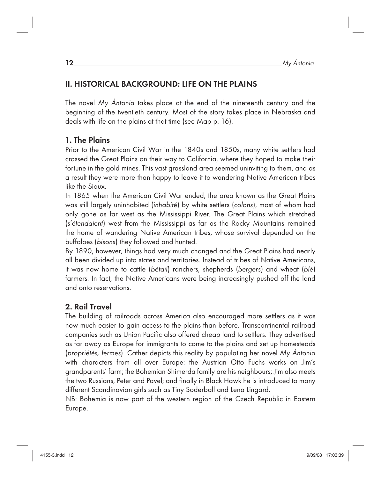# II. HISTORICAL BACKGROUND: LIFE ON THE PLAINS

The novel My Ántonia takes place at the end of the nineteenth century and the beginning of the twentieth century. Most of the story takes place in Nebraska and deals with life on the plains at that time (see Map p. 16).

# 1. The Plains

Prior to the American Civil War in the 1840s and 1850s, many white settlers had crossed the Great Plains on their way to California, where they hoped to make their fortune in the gold mines. This vast grassland area seemed uninviting to them, and as a result they were more than happy to leave it to wandering Native American tribes like the Sioux.

In 1865 when the American Civil War ended, the area known as the Great Plains was still largely uninhabited (inhabité) by white settlers (colons), most of whom had only gone as far west as the Mississippi River. The Great Plains which stretched (s'étendaient) west from the Mississippi as far as the Rocky Mountains remained the home of wandering Native American tribes, whose survival depended on the buffaloes (bisons) they followed and hunted.

By 1890, however, things had very much changed and the Great Plains had nearly all been divided up into states and territories. Instead of tribes of Native Americans, it was now home to cattle (bétail) ranchers, shepherds (bergers) and wheat (blé) farmers. In fact, the Native Americans were being increasingly pushed off the land and onto reservations.

# 2. Rail Travel

The building of railroads across America also encouraged more settlers as it was now much easier to gain access to the plains than before. Transcontinental railroad companies such as Union Pacific also offered cheap land to settlers. They advertised as far away as Europe for immigrants to come to the plains and set up homesteads (propriétés, fermes). Cather depicts this reality by populating her novel My Ántonia with characters from all over Europe: the Austrian Otto Fuchs works on Jim's grandparents' farm; the Bohemian Shimerda family are his neighbours; Jim also meets the two Russians, Peter and Pavel; and finally in Black Hawk he is introduced to many different Scandinavian girls such as Tiny Soderball and Lena Lingard.

NB: Bohemia is now part of the western region of the Czech Republic in Eastern Europe.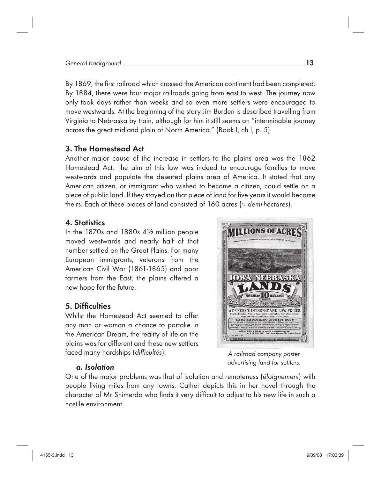By 1869, the first railroad which crossed the American continent had been completed. By 1884, there were four major railroads going from east to west. The journey now only took days rather than weeks and so even more settlers were encouraged to move westwards. At the beginning of the story Jim Burden is described travelling from Virginia to Nebraska by train, although for him it still seems an "interminable journey across the great midland plain of North America." (Book I, ch I, p. 5)

# 3. The Homestead Act

Another major cause of the increase in settlers to the plains area was the 1862 Homestead Act. The aim of this law was indeed to encourage families to move westwards and populate the deserted plains area of America. It stated that any American citizen, or immigrant who wished to become a citizen, could settle on a piece of public land. If they stayed on that piece of land for five years it would become theirs. Each of these pieces of land consisted of 160 acres ( $\approx$  demi-hectares).

### 4. Statistics

In the 1870s and 1880s 4½ million people moved westwards and nearly half of that number settled on the Great Plains. For many European immigrants, veterans from the American Civil War (1861-1865) and poor farmers from the East, the plains offered a new hope for the future.

# 5. Difficulties

Whilst the Homestead Act seemed to offer any man or woman a chance to partake in the American Dream, the reality of life on the plains was far different and these new settlers faced many hardships (difficultés).

# FRRASKA PER CT. INTEREST AND LOW PRICES D EXPLORING TICKETS SO

A railroad company poster advertising land for settlers.

### a. Isolation

One of the major problems was that of isolation and remoteness (éloignement) with people living miles from any towns. Cather depicts this in her novel through the character of Mr Shimerda who finds it very difficult to adjust to his new life in such a hostile environment.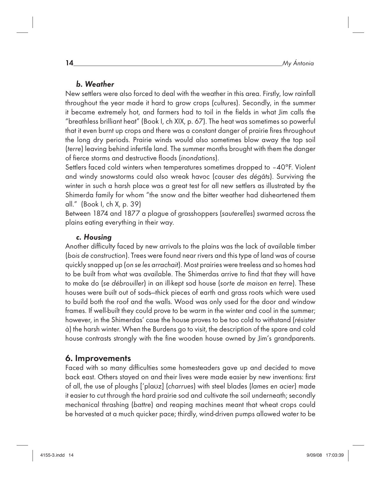# b. Weather

New settlers were also forced to deal with the weather in this area. Firstly, low rainfall throughout the year made it hard to grow crops (cultures). Secondly, in the summer it became extremely hot, and farmers had to toil in the fields in what Jim calls the "breathless brilliant heat" (Book I, ch XIX, p. 67). The heat was sometimes so powerful that it even burnt up crops and there was a constant danger of prairie fires throughout the long dry periods. Prairie winds would also sometimes blow away the top soil (terre) leaving behind infertile land. The summer months brought with them the danger of fierce storms and destructive floods (inondations).

Settlers faced cold winters when temperatures sometimes dropped to –40°F. Violent and windy snowstorms could also wreak havoc (causer des dégâts). Surviving the winter in such a harsh place was a great test for all new settlers as illustrated by the Shimerda family for whom "the snow and the bitter weather had disheartened them all." (Book I, ch X, p. 39)

Between 1874 and 1877 a plague of grasshoppers (sauterelles) swarmed across the plains eating everything in their way.

# c. Housing

Another difficulty faced by new arrivals to the plains was the lack of available timber (bois de construction). Trees were found near rivers and this type of land was of course quickly snapped up (on se les arrachait). Most prairies were treeless and so homes had to be built from what was available. The Shimerdas arrive to find that they will have to make do (se débrouiller) in an ill-kept sod house (sorte de maison en terre). These houses were built out of sods—thick pieces of earth and grass roots which were used to build both the roof and the walls. Wood was only used for the door and window frames. If well-built they could prove to be warm in the winter and cool in the summer; however, in the Shimerdas' case the house proves to be too cold to withstand (résister à) the harsh winter. When the Burdens go to visit, the description of the spare and cold house contrasts strongly with the fine wooden house owned by Jim's grandparents.

# 6. Improvements

Faced with so many difficulties some homesteaders gave up and decided to move back east. Others stayed on and their lives were made easier by new inventions: first of all, the use of ploughs ['plauz] (charrues) with steel blades (lames en acier) made it easier to cut through the hard prairie sod and cultivate the soil underneath; secondly mechanical thrashing (battre) and reaping machines meant that wheat crops could be harvested at a much quicker pace; thirdly, wind-driven pumps allowed water to be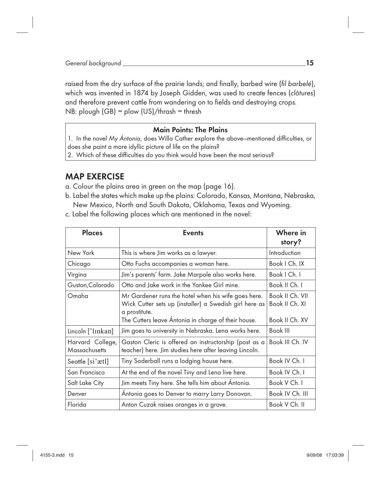raised from the dry surface of the prairie lands; and finally, barbed wire (fil barbelé), which was invented in 1874 by Joseph Gidden, was used to create fences (clôtures) and therefore prevent cattle from wandering on to fields and destroying crops. NB: plough (GB) = plow (US)/thrash = thresh

### Main Points: The Plains

1. In the novel My Ántonia, does Willa Cather explore the above–mentioned difficulties, or does she paint a more idyllic picture of life on the plains?

2. Which of these difficulties do you think would have been the most serious?

# MAP EXERCISE

- a. Colour the plains area in green on the map (page 16).
- b. Label the states which make up the plains: Colorado, Kansas, Montana, Nebraska, New Mexico, North and South Dakota, Oklahoma, Texas and Wyoming.
- c. Label the following places which are mentioned in the novel:

| Places                                   | <b>Events</b>                                                                                                                                                                         | Where in<br>story?                                  |
|------------------------------------------|---------------------------------------------------------------------------------------------------------------------------------------------------------------------------------------|-----------------------------------------------------|
| New York                                 | This is where Jim works as a lawyer.                                                                                                                                                  | Introduction                                        |
| Chicago                                  | Otto Fuchs accompanies a woman here.                                                                                                                                                  | Book   Ch. IX                                       |
| Virgina                                  | Jim's parents' farm. Jake Marpole also works here.                                                                                                                                    | Book   Ch. I                                        |
| Guston, Colorado                         | Otto and Jake work in the Yankee Girl mine.                                                                                                                                           | Book II Ch. I                                       |
| Omaha                                    | Mr Gardener runs the hotel when his wife goes here.<br>Wick Cutter sets up (installer) a Swedish girl here as<br>a prostitute.<br>The Cutters leave Ántonia in charge of their house. | Book II Ch. VII<br>Book II Ch. XI<br>Book II Ch. XV |
| Lincoln ['lɪnkan]                        | Jim goes to university in Nebraska. Lena works here.                                                                                                                                  | Book III                                            |
| Harvard College,<br><b>Massachusetts</b> | Gaston Cleric is offered an instructorship (post as a<br>teacher) here. Jim studies here after leaving Lincoln.                                                                       | Book III Ch. IV                                     |
| Seattle [si'ætl]                         | Tiny Soderball runs a lodging house here.                                                                                                                                             | Book IV Ch. I                                       |
| San Francisco                            | At the end of the novel Tiny and Lena live here.                                                                                                                                      | Book IV Ch. I                                       |
| Salt Lake City                           | Jim meets Tiny here. She tells him about Ántonia.                                                                                                                                     | Book V Ch. I                                        |
| Denver                                   | Antonia goes to Denver to marry Larry Donovan.                                                                                                                                        | Book IV Ch. III                                     |
| Florida                                  | Anton Cuzak raises oranges in a grove.                                                                                                                                                | Book V Ch. II                                       |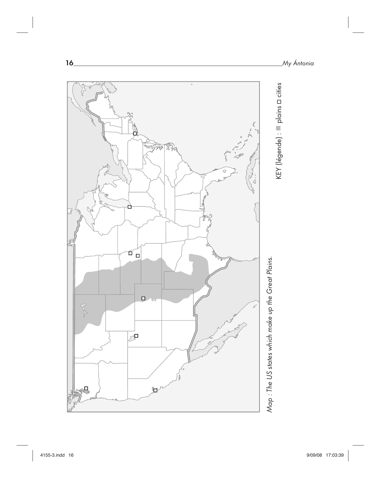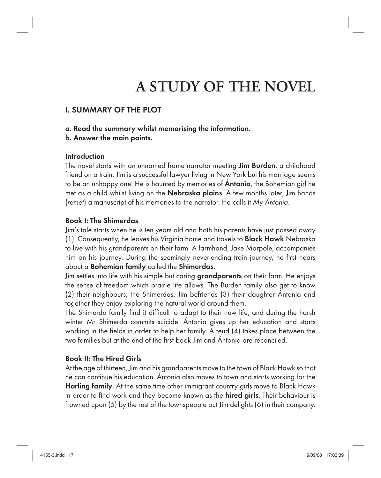# **A STUDY OF THE NOVEL**

# I. SUMMARY OF THE PLOT

### a. Read the summary whilst memorising the information.

b. Answer the main points.

### Introduction

The novel starts with an unnamed frame narrator meeting Jim Burden, a childhood friend on a train. Jim is a successful lawyer living in New York but his marriage seems to be an unhappy one. He is haunted by memories of **Antonia**, the Bohemian girl he met as a child whilst living on the **Nebraska plains**. A few months later, Jim hands (remet) a manuscript of his memories to the narrator. He calls it My Ántonia.

### Book I: The Shimerdas

Jim's tale starts when he is ten years old and both his parents have just passed away (1). Consequently, he leaves his Virginia home and travels to Black Hawk Nebraska to live with his grandparents on their farm. A farmhand, Jake Marpole, accompanies him on his journey. During the seemingly never-ending train journey, he first hears about a Bohemian family called the Shimerdas.

Jim settles into life with his simple but caring grandparents on their farm. He enjoys the sense of freedom which prairie life allows. The Burden family also get to know (2) their neighbours, the Shimerdas. Jim befriends (3) their daughter Ántonia and together they enjoy exploring the natural world around them.

The Shimerda family find it difficult to adapt to their new life, and during the harsh winter Mr Shimerda commits suicide. Ántonia gives up her education and starts working in the fields in order to help her family. A feud (4) takes place between the two families but at the end of the first book Jim and Ántonia are reconciled.

# Book II: The Hired Girls

At the age of thirteen, Jim and his grandparents move to the town of Black Hawk so that he can continue his education. Ántonia also moves to town and starts working for the Harling family. At the same time other immigrant country girls move to Black Hawk in order to find work and they become known as the **hired girls**. Their behaviour is frowned upon (5) by the rest of the townspeople but Jim delights (6) in their company.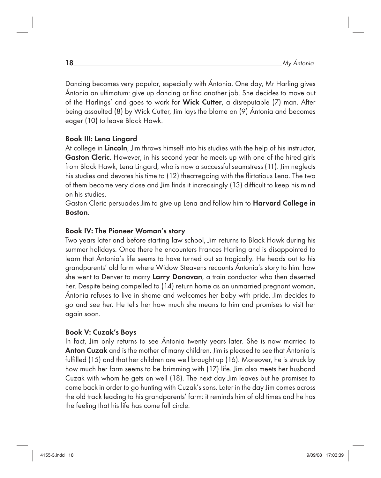Dancing becomes very popular, especially with Ántonia. One day, Mr Harling gives Ántonia an ultimatum: give up dancina or find another job. She decides to move out of the Harlings' and goes to work for Wick Cutter, a disreputable (7) man. After being assaulted (8) by Wick Cutter, Jim lays the blame on (9) Ántonia and becomes eager (10) to leave Black Hawk.

### Book III: Lena Lingard

At college in Lincoln, Jim throws himself into his studies with the help of his instructor, Gaston Cleric. However, in his second year he meets up with one of the hired girls from Black Hawk, Lena Lingard, who is now a successful seamstress (11). Jim neglects his studies and devotes his time to (12) theatregoing with the flirtatious Lena. The two of them become very close and Jim finds it increasingly (13) difficult to keep his mind on his studies.

Gaston Cleric persuades Jim to give up Lena and follow him to Harvard College in Boston.

### Book IV: The Pioneer Woman's story

Two years later and before starting law school, Jim returns to Black Hawk during his summer holidays. Once there he encounters Frances Harling and is disappointed to learn that Ántonia's life seems to have turned out so tragically. He heads out to his grandparents' old farm where Widow Steavens recounts Ántonia's story to him: how she went to Denver to marry Larry Donovan, a train conductor who then deserted her. Despite being compelled to (14) return home as an unmarried pregnant woman, Ántonia refuses to live in shame and welcomes her baby with pride. Jim decides to go and see her. He tells her how much she means to him and promises to visit her again soon.

### Book V: Cuzak's Boys

In fact, Jim only returns to see Ántonia twenty years later. She is now married to Anton Cuzak and is the mother of many children. Jim is pleased to see that Ántonia is fulfilled (15) and that her children are well brought up (16). Moreover, he is struck by how much her farm seems to be brimming with (17) life. Jim also meets her husband Cuzak with whom he gets on well (18). The next day Jim leaves but he promises to come back in order to go hunting with Cuzak's sons. Later in the day Jim comes across the old track leading to his grandparents' farm: it reminds him of old times and he has the feeling that his life has come full circle.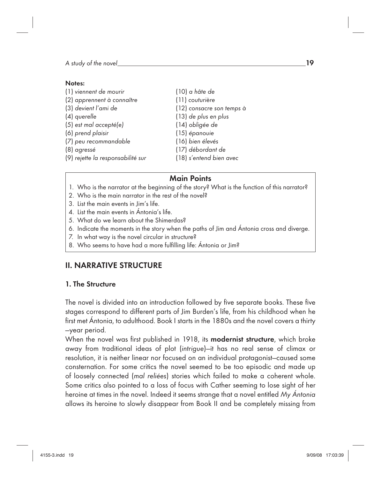#### Notes:

| (1) viennent de mourir            | (10) a hâte de            |
|-----------------------------------|---------------------------|
| (2) apprennent à connaître        | (11) couturière           |
| (3) devient l'ami de              | (12) consacre son temps à |
| (4) querelle                      | (13) de plus en plus      |
| (5) est mal accepté(e)            | (14) obligée de           |
| (6) prend plaisir                 | (15) épanouie             |
| (7) peu recommandable             | (16) bien élevés          |
| (8) agressé                       | (17) débordant de         |
| (9) rejette la responsabilité sur | (18) s'entend bien avec   |
|                                   |                           |

# Main Points

- 1. Who is the narrator at the beginning of the story? What is the function of this narrator?
- 2. Who is the main narrator in the rest of the novel?
- 3. List the main events in Jim's life.
- 4. List the main events in Ántonia's life.
- 5. What do we learn about the Shimerdas?
- 6. Indicate the moments in the story when the paths of Jim and Ántonia cross and diverge.
- 7. In what way is the novel circular in structure?
- 8. Who seems to have had a more fulfilling life: Ántonia or Jim?

# II. NARRATIVE STRUCTURE

### 1. The Structure

The novel is divided into an introduction followed by five separate books. These five stages correspond to different parts of Jim Burden's life, from his childhood when he first met Ántonia, to adulthood. Book I starts in the 1880s and the novel covers a thirty —year period.

When the novel was first published in 1918, its modernist structure, which broke away from traditional ideas of plot (intrigue)—it has no real sense of climax or resolution, it is neither linear nor focused on an individual protagonist—caused some consternation. For some critics the novel seemed to be too episodic and made up of loosely connected (mal reliées) stories which failed to make a coherent whole. Some critics also pointed to a loss of focus with Cather seeming to lose sight of her heroine at times in the novel. Indeed it seems strange that a novel entitled My Ántonia allows its heroine to slowly disappear from Book II and be completely missing from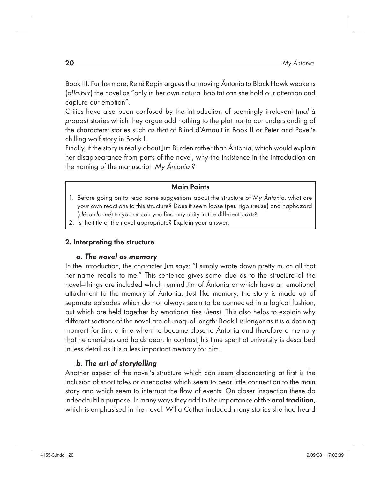Book III. Furthermore, René Rapin argues that moving Ántonia to Black Hawk weakens (affaiblir) the novel as "only in her own natural habitat can she hold our attention and capture our emotion".

Critics have also been confused by the introduction of seemingly irrelevant (mal à propos) stories which they argue add nothing to the plot nor to our understanding of the characters; stories such as that of Blind d'Arnault in Book II or Peter and Pavel's chilling wolf story in Book I.

Finally, if the story is really about Jim Burden rather than Ántonia, which would explain her disappearance from parts of the novel, why the insistence in the introduction on the naming of the manuscript My Ántonia ?

#### Main Points

- 1. Before going on to read some suggestions about the structure of My Ántonia, what are your own reactions to this structure? Does it seem loose (peu rigoureuse) and haphazard (désordonné) to you or can you find any unity in the different parts?
- 2. Is the title of the novel appropriate? Explain your answer.

### 2. Interpreting the structure

### a. The novel as memory

In the introduction, the character Jim says: "I simply wrote down pretty much all that her name recalls to me." This sentence gives some clue as to the structure of the novel—things are included which remind Jim of Ántonia or which have an emotional attachment to the memory of Ántonia. Just like memory, the story is made up of separate episodes which do not always seem to be connected in a logical fashion, but which are held together by emotional ties (liens). This also helps to explain why different sections of the novel are of unequal length: Book I is longer as it is a defining moment for Jim; a time when he became close to Ántonia and therefore a memory that he cherishes and holds dear. In contrast, his time spent at university is described in less detail as it is a less important memory for him.

### b. The art of storytelling

Another aspect of the novel's structure which can seem disconcerting at first is the inclusion of short tales or anecdotes which seem to bear little connection to the main story and which seem to interrupt the flow of events. On closer inspection these do indeed fulfil a purpose. In many ways they add to the importance of the oral tradition, which is emphasised in the novel. Willa Cather included many stories she had heard